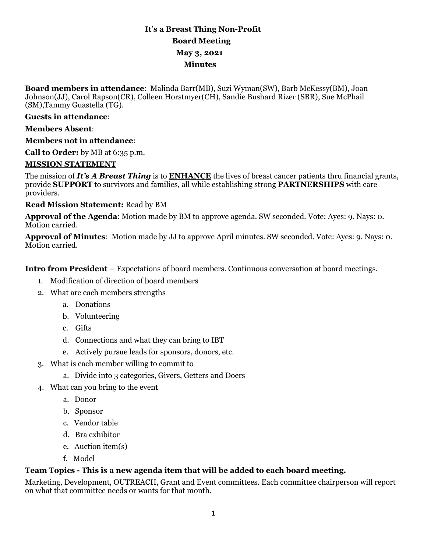# **It's a Breast Thing Non-Profit Board Meeting May 3, 2021 Minutes**

**Board members in attendance**: Malinda Barr(MB), Suzi Wyman(SW), Barb McKessy(BM), Joan Johnson(JJ), Carol Rapson(CR), Colleen Horstmyer(CH), Sandie Bushard Rizer (SBR), Sue McPhail (SM),Tammy Guastella (TG).

#### **Guests in attendance**:

#### **Members Absent**:

#### **Members not in attendance**:

**Call to Order:** by MB at 6:35 p.m.

#### **MISSION STATEMENT**

The mission of *It's A Breast Thing* is to **ENHANCE** the lives of breast cancer patients thru financial grants, provide **SUPPORT** to survivors and families, all while establishing strong **PARTNERSHIPS** with care providers.

#### **Read Mission Statement:** Read by BM

**Approval of the Agenda**: Motion made by BM to approve agenda. SW seconded. Vote: Ayes: 9. Nays: 0. Motion carried.

**Approval of Minutes**: Motion made by JJ to approve April minutes. SW seconded. Vote: Ayes: 9. Nays: 0. Motion carried.

**Intro from President –** Expectations of board members. Continuous conversation at board meetings.

- 1. Modification of direction of board members
- 2. What are each members strengths
	- a. Donations
	- b. Volunteering
	- c. Gifts
	- d. Connections and what they can bring to IBT
	- e. Actively pursue leads for sponsors, donors, etc.
- 3. What is each member willing to commit to
	- a. Divide into 3 categories, Givers, Getters and Doers
- 4. What can you bring to the event
	- a. Donor
	- b. Sponsor
	- c. Vendor table
	- d. Bra exhibitor
	- e. Auction item(s)
	- f. Model

#### **Team Topics - This is a new agenda item that will be added to each board meeting.**

Marketing, Development, OUTREACH, Grant and Event committees. Each committee chairperson will report on what that committee needs or wants for that month.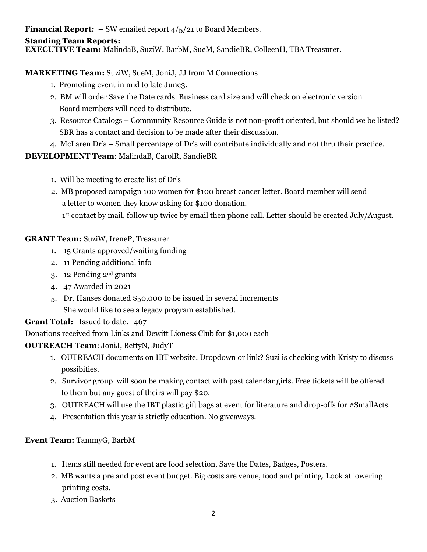**Financial Report:** – SW emailed report  $4/5/21$  to Board Members.

### **Standing Team Reports:**

**EXECUTIVE Team:** MalindaB, SuziW, BarbM, SueM, SandieBR, ColleenH, TBA Treasurer.

# **MARKETING Team:** SuziW, SueM, JoniJ, JJ from M Connections

- 1. Promoting event in mid to late June3.
- 2. BM will order Save the Date cards. Business card size and will check on electronic version Board members will need to distribute.
- 3. Resource Catalogs Community Resource Guide is not non-profit oriented, but should we be listed? SBR has a contact and decision to be made after their discussion.
- 4. McLaren Dr's Small percentage of Dr's will contribute individually and not thru their practice.

# **DEVELOPMENT Team**: MalindaB, CarolR, SandieBR

- 1. Will be meeting to create list of Dr's
- 2. MB proposed campaign 100 women for \$100 breast cancer letter. Board member will send a letter to women they know asking for \$100 donation.

1st contact by mail, follow up twice by email then phone call. Letter should be created July/August.

# **GRANT Team:** SuziW, IreneP, Treasurer

- 1. 15 Grants approved/waiting funding
- 2. 11 Pending additional info
- 3. 12 Pending 2nd grants
- 4. 47 Awarded in 2021
- 5. Dr. Hanses donated \$50,000 to be issued in several increments She would like to see a legacy program established.

# **Grant Total:** Issued to date. 467

Donations received from Links and Dewitt Lioness Club for \$1,000 each

# **OUTREACH Team**: JoniJ, BettyN, JudyT

- 1. OUTREACH documents on IBT website. Dropdown or link? Suzi is checking with Kristy to discuss possibities.
- 2. Survivor group will soon be making contact with past calendar girls. Free tickets will be offered to them but any guest of theirs will pay \$20.
- 3. OUTREACH will use the IBT plastic gift bags at event for literature and drop-offs for #SmallActs.
- 4. Presentation this year is strictly education. No giveaways.

# **Event Team:** TammyG, BarbM

- 1. Items still needed for event are food selection, Save the Dates, Badges, Posters.
- 2. MB wants a pre and post event budget. Big costs are venue, food and printing. Look at lowering printing costs.
- 3. Auction Baskets